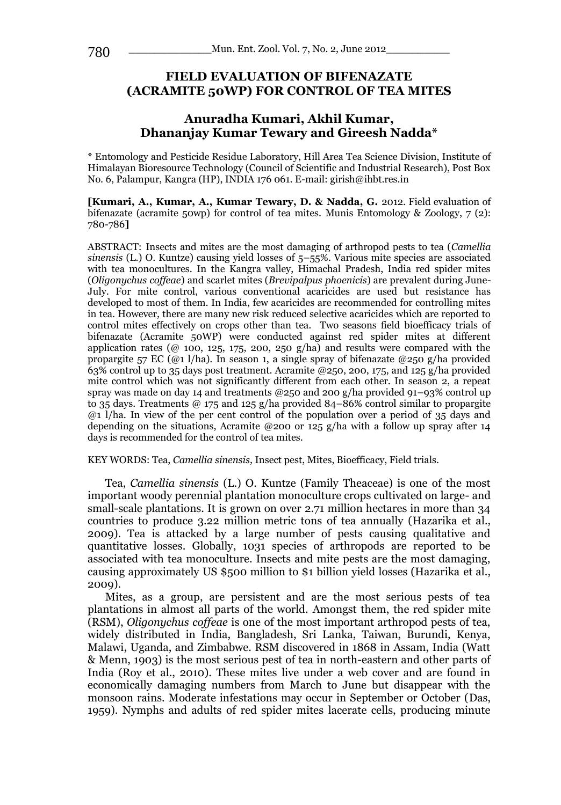# **FIELD EVALUATION OF BIFENAZATE (ACRAMITE 50WP) FOR CONTROL OF TEA MITES**

# **Anuradha Kumari, Akhil Kumar, Dhananjay Kumar Tewary and Gireesh Nadda\***

\* Entomology and Pesticide Residue Laboratory, Hill Area Tea Science Division, Institute of Himalayan Bioresource Technology (Council of Scientific and Industrial Research), Post Box No. 6, Palampur, Kangra (HP), INDIA 176 061. E-mail: girish@ihbt.res.in

**[Kumari, A., Kumar, A., Kumar Tewary, D. & Nadda, G.** 2012. Field evaluation of bifenazate (acramite 50wp) for control of tea mites. Munis Entomology & Zoology,  $7(2)$ : 780-786**]**

ABSTRACT: Insects and mites are the most damaging of arthropod pests to tea (*Camellia sinensis* (L.) O. Kuntze) causing yield losses of 5–55%. Various mite species are associated with tea monocultures. In the Kangra valley, Himachal Pradesh, India red spider mites (*Oligonychus coffeae*) and scarlet mites (*Brevipalpus phoenicis*) are prevalent during June-July. For mite control, various conventional acaricides are used but resistance has developed to most of them. In India, few acaricides are recommended for controlling mites in tea. However, there are many new risk reduced selective acaricides which are reported to control mites effectively on crops other than tea. Two seasons field bioefficacy trials of bifenazate (Acramite 50WP) were conducted against red spider mites at different application rates ( $@$  100, 125, 175, 200, 250 g/ha) and results were compared with the propargite 57 EC (@1 l/ha). In season 1, a single spray of bifenazate @250 g/ha provided 63% control up to 35 days post treatment. Acramite @250, 200, 175, and 125 g/ha provided mite control which was not significantly different from each other. In season 2, a repeat spray was made on day 14 and treatments  $@250$  and 200 g/ha provided 91–93% control up to 35 days. Treatments @ 175 and 125 g/ha provided 84–86% control similar to propargite  $\omega$ <sub>1</sub> l/ha. In view of the per cent control of the population over a period of 35 days and depending on the situations, Acramite @200 or 125 g/ha with a follow up spray after 14 days is recommended for the control of tea mites.

KEY WORDS: Tea, *Camellia sinensis*, Insect pest, Mites, Bioefficacy, Field trials.

Tea, *Camellia sinensis* (L.) O. Kuntze (Family Theaceae) is one of the most important woody perennial plantation monoculture crops cultivated on large- and small-scale plantations. It is grown on over 2.71 million hectares in more than 34 countries to produce 3.22 million metric tons of tea annually (Hazarika et al., 2009). Tea is attacked by a large number of pests causing qualitative and quantitative losses. Globally, 1031 species of arthropods are reported to be associated with tea monoculture. Insects and mite pests are the most damaging, causing approximately US \$500 million to \$1 billion yield losses (Hazarika et al., 2009).

Mites, as a group, are persistent and are the most serious pests of tea plantations in almost all parts of the world. Amongst them, the red spider mite (RSM), *Oligonychus coffeae* is one of the most important arthropod pests of tea, widely distributed in India, Bangladesh, Sri Lanka, Taiwan, Burundi, Kenya, Malawi, Uganda, and Zimbabwe. RSM discovered in 1868 in Assam, India (Watt & Menn, 1903) is the most serious pest of tea in north-eastern and other parts of India (Roy et al., 2010). These mites live under a web cover and are found in economically damaging numbers from March to June but disappear with the monsoon rains. Moderate infestations may occur in September or October (Das, 1959). Nymphs and adults of red spider mites lacerate cells, producing minute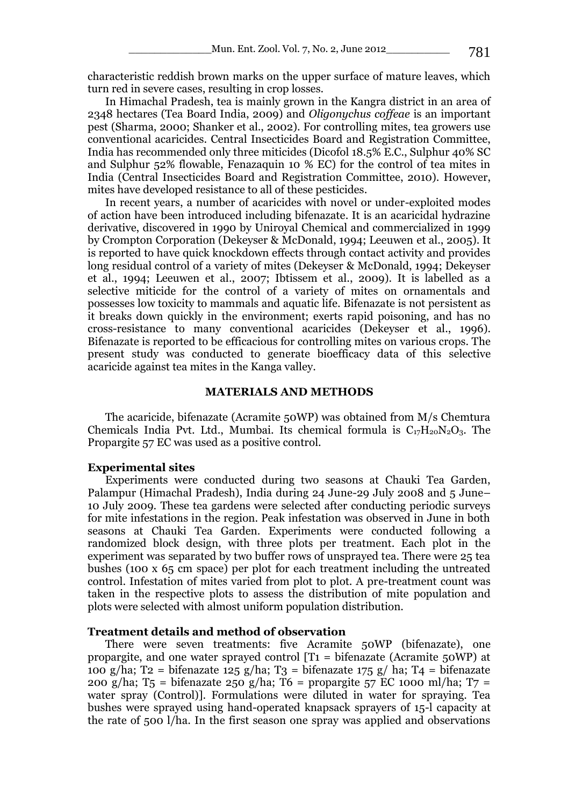characteristic reddish brown marks on the upper surface of mature leaves, which turn red in severe cases, resulting in crop losses.

In Himachal Pradesh, tea is mainly grown in the Kangra district in an area of 2348 hectares (Tea Board India, 2009) and *Oligonychus coffeae* is an important pest (Sharma, 2000; Shanker et al., 2002). For controlling mites, tea growers use conventional acaricides. Central Insecticides Board and Registration Committee, India has recommended only three miticides (Dicofol 18.5% E.C., Sulphur 40% SC and Sulphur 52% flowable, Fenazaquin 10 % EC) for the control of tea mites in India (Central Insecticides Board and Registration Committee, 2010). However, mites have developed resistance to all of these pesticides.

In recent years, a number of acaricides with novel or under-exploited modes of action have been introduced including bifenazate. It is an acaricidal hydrazine derivative, discovered in 1990 by Uniroyal Chemical and commercialized in 1999 by Crompton Corporation (Dekeyser & McDonald, 1994; Leeuwen et al., 2005). It is reported to have quick knockdown effects through contact activity and provides long residual control of a variety of mites (Dekeyser & McDonald, 1994; Dekeyser et al., 1994; Leeuwen et al., 2007; Ibtissem et al., 2009). It is labelled as a selective miticide for the control of a variety of mites on ornamentals and possesses low toxicity to mammals and aquatic life. Bifenazate is not persistent as it breaks down quickly in the environment; exerts rapid poisoning, and has no cross-resistance to many conventional acaricides (Dekeyser et al., 1996). Bifenazate is reported to be efficacious for controlling mites on various crops. The present study was conducted to generate bioefficacy data of this selective acaricide against tea mites in the Kanga valley.

#### **MATERIALS AND METHODS**

The acaricide, bifenazate (Acramite 50WP) was obtained from M/s Chemtura Chemicals India Pvt. Ltd., Mumbai. Its chemical formula is  $C_{17}H_{20}N_{2}O_3$ . The Propargite 57 EC was used as a positive control.

## **Experimental sites**

Experiments were conducted during two seasons at Chauki Tea Garden, Palampur (Himachal Pradesh), India during 24 June-29 July 2008 and 5 June– 10 July 2009. These tea gardens were selected after conducting periodic surveys for mite infestations in the region. Peak infestation was observed in June in both seasons at Chauki Tea Garden. Experiments were conducted following a randomized block design, with three plots per treatment. Each plot in the experiment was separated by two buffer rows of unsprayed tea. There were 25 tea bushes (100 x 65 cm space) per plot for each treatment including the untreated control. Infestation of mites varied from plot to plot. A pre-treatment count was taken in the respective plots to assess the distribution of mite population and plots were selected with almost uniform population distribution.

## **Treatment details and method of observation**

There were seven treatments: five Acramite 50WP (bifenazate), one propargite, and one water sprayed control  $[T_1 = \text{bifenazate}$  (Acramite 50WP) at 100 g/ha; T2 = bifenazate 125 g/ha; T3 = bifenazate 175 g/ ha; T4 = bifenazate 200 g/ha; T<sub>5</sub> = bifenazate 250 g/ha; T6 = propargite 57 EC 1000 ml/ha; T7 = water spray (Control)]. Formulations were diluted in water for spraying. Tea bushes were sprayed using hand-operated knapsack sprayers of 15-l capacity at the rate of 500 l/ha. In the first season one spray was applied and observations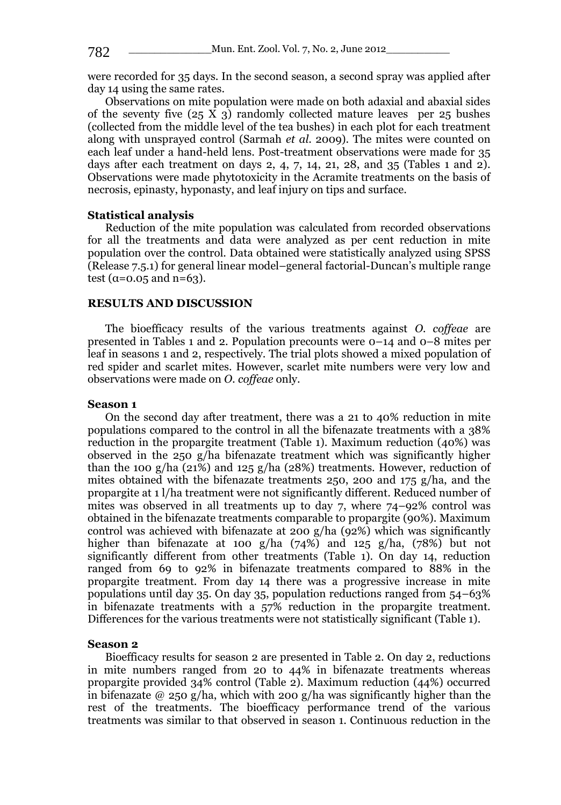were recorded for 35 days. In the second season, a second spray was applied after day 14 using the same rates.

Observations on mite population were made on both adaxial and abaxial sides of the seventy five  $(25 \overline{X} 3)$  randomly collected mature leaves per 25 bushes (collected from the middle level of the tea bushes) in each plot for each treatment along with unsprayed control (Sarmah *et al*. 2009). The mites were counted on each leaf under a hand-held lens. Post-treatment observations were made for 35 days after each treatment on days 2, 4, 7, 14, 21, 28, and 35 (Tables 1 and 2). Observations were made phytotoxicity in the Acramite treatments on the basis of necrosis, epinasty, hyponasty, and leaf injury on tips and surface.

## **Statistical analysis**

Reduction of the mite population was calculated from recorded observations for all the treatments and data were analyzed as per cent reduction in mite population over the control. Data obtained were statistically analyzed using SPSS (Release 7.5.1) for general linear model–general factorial-Duncan's multiple range test ( $\alpha$ =0.05 and n=63).

#### **RESULTS AND DISCUSSION**

The bioefficacy results of the various treatments against *O. coffeae* are presented in Tables 1 and 2. Population precounts were 0–14 and 0–8 mites per leaf in seasons 1 and 2, respectively. The trial plots showed a mixed population of red spider and scarlet mites. However, scarlet mite numbers were very low and observations were made on *O. coffeae* only.

#### **Season 1**

On the second day after treatment, there was a 21 to 40% reduction in mite populations compared to the control in all the bifenazate treatments with a 38% reduction in the propargite treatment (Table 1). Maximum reduction (40%) was observed in the 250 g/ha bifenazate treatment which was significantly higher than the 100 g/ha (21%) and 125 g/ha (28%) treatments. However, reduction of mites obtained with the bifenazate treatments 250, 200 and  $175$  g/ha, and the propargite at 1 l/ha treatment were not significantly different. Reduced number of mites was observed in all treatments up to day 7, where 74–92% control was obtained in the bifenazate treatments comparable to propargite (90%). Maximum control was achieved with bifenazate at 200 g/ha (92%) which was significantly higher than bifenazate at 100 g/ha  $(74%)$  and 125 g/ha,  $(78%)$  but not significantly different from other treatments (Table 1). On day 14, reduction ranged from 69 to 92% in bifenazate treatments compared to 88% in the propargite treatment. From day 14 there was a progressive increase in mite populations until day 35. On day 35, population reductions ranged from 54–63% in bifenazate treatments with a 57% reduction in the propargite treatment. Differences for the various treatments were not statistically significant (Table 1).

### **Season 2**

Bioefficacy results for season 2 are presented in Table 2. On day 2, reductions in mite numbers ranged from 20 to 44% in bifenazate treatments whereas propargite provided 34% control (Table 2). Maximum reduction (44%) occurred in bifenazate @ 250 g/ha, which with 200 g/ha was significantly higher than the rest of the treatments. The bioefficacy performance trend of the various treatments was similar to that observed in season 1. Continuous reduction in the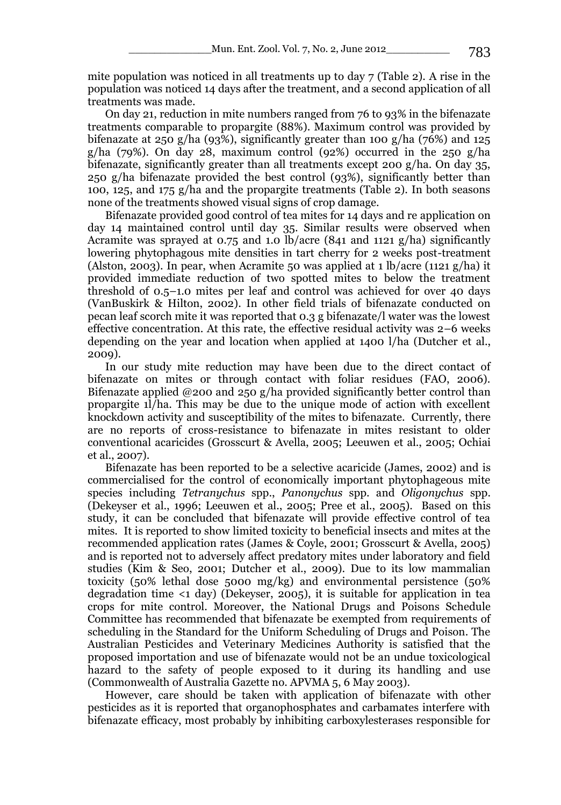mite population was noticed in all treatments up to day 7 (Table 2). A rise in the population was noticed 14 days after the treatment, and a second application of all treatments was made.

On day 21, reduction in mite numbers ranged from 76 to 93% in the bifenazate treatments comparable to propargite (88%). Maximum control was provided by bifenazate at 250 g/ha (93%), significantly greater than 100 g/ha (76%) and 125  $g/ha$  (79%). On day 28, maximum control (92%) occurred in the 250  $g/ha$ bifenazate, significantly greater than all treatments except 200 g/ha. On day 35, 250 g/ha bifenazate provided the best control (93%), significantly better than 100, 125, and 175 g/ha and the propargite treatments (Table 2). In both seasons none of the treatments showed visual signs of crop damage.

Bifenazate provided good control of tea mites for 14 days and re application on day 14 maintained control until day 35. Similar results were observed when Acramite was sprayed at 0.75 and 1.0 lb/acre (841 and 1121  $g/ha$ ) significantly lowering phytophagous mite densities in tart cherry for 2 weeks post-treatment (Alston, 2003). In pear, when Acramite 50 was applied at 1 lb/acre (1121 g/ha) it provided immediate reduction of two spotted mites to below the treatment threshold of 0.5–1.0 mites per leaf and control was achieved for over 40 days (VanBuskirk & Hilton, 2002). In other field trials of bifenazate conducted on pecan leaf scorch mite it was reported that 0.3 g bifenazate/l water was the lowest effective concentration. At this rate, the effective residual activity was 2–6 weeks depending on the year and location when applied at 1400 l/ha (Dutcher et al., 2009).

In our study mite reduction may have been due to the direct contact of bifenazate on mites or through contact with foliar residues (FAO, 2006). Bifenazate applied @200 and 250 g/ha provided significantly better control than propargite 1l/ha. This may be due to the unique mode of action with excellent knockdown activity and susceptibility of the mites to bifenazate. Currently, there are no reports of cross-resistance to bifenazate in mites resistant to older conventional acaricides (Grosscurt & Avella, 2005; Leeuwen et al., 2005; Ochiai et al., 2007).

Bifenazate has been reported to be a selective acaricide (James, 2002) and is commercialised for the control of economically important phytophageous mite species including *Tetranychus* spp., *Panonychus* spp. and *Oligonychus* spp. (Dekeyser et al., 1996; Leeuwen et al., 2005; Pree et al., 2005). Based on this study, it can be concluded that bifenazate will provide effective control of tea mites. It is reported to show limited toxicity to beneficial insects and mites at the recommended application rates (James & Coyle, 2001; Grosscurt & Avella, 2005) and is reported not to adversely affect predatory mites under laboratory and field studies (Kim & Seo, 2001; Dutcher et al., 2009). Due to its low mammalian toxicity (50% lethal dose 5000 mg/kg) and environmental persistence (50% degradation time *<*1 day) (Dekeyser, 2005), it is suitable for application in tea crops for mite control. Moreover, the National Drugs and Poisons Schedule Committee has recommended that bifenazate be exempted from requirements of scheduling in the Standard for the Uniform Scheduling of Drugs and Poison. The Australian Pesticides and Veterinary Medicines Authority is satisfied that the proposed importation and use of bifenazate would not be an undue toxicological hazard to the safety of people exposed to it during its handling and use (Commonwealth of Australia Gazette no. APVMA 5, 6 May 2003).

However, care should be taken with application of bifenazate with other pesticides as it is reported that organophosphates and carbamates interfere with bifenazate efficacy, most probably by inhibiting carboxylesterases responsible for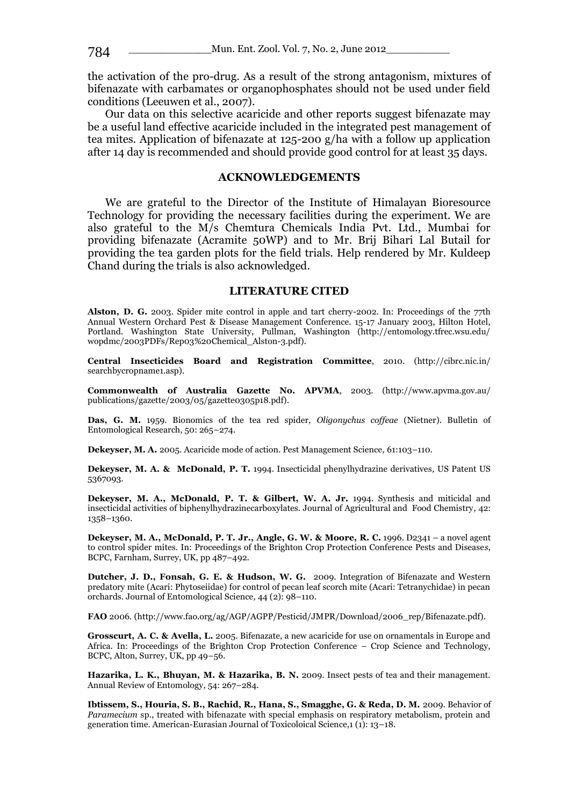the activation of the pro-drug. As a result of the strong antagonism, mixtures of bifenazate with carbamates or organophosphates should not be used under field conditions (Leeuwen et al., 2007).

Our data on this selective acaricide and other reports suggest bifenazate may be a useful land effective acaricide included in the integrated pest management of tea mites. Application of bifenazate at 125-200 g/ha with a follow up application after 14 day is recommended and should provide good control for at least 35 days.

#### **ACKNOWLEDGEMENTS**

We are grateful to the Director of the Institute of Himalayan Bioresource Technology for providing the necessary facilities during the experiment. We are also grateful to the M/s Chemtura Chemicals India Pvt. Ltd., Mumbai for providing bifenazate (Acramite 50WP) and to Mr. Brij Bihari Lal Butail for providing the tea garden plots for the field trials. Help rendered by Mr. Kuldeep Chand during the trials is also acknowledged.

### **LITERATURE CITED**

**Alston, D. G.** 2003. Spider mite control in apple and tart cherry-2002. In: Proceedings of the 77th Annual Western Orchard Pest & Disease Management Conference. 15-17 January 2003, Hilton Hotel, Portland. Washington State University, Pullman, Washington (http://entomology.tfrec.wsu.edu/ wopdmc/2003PDFs/Rep03%20Chemical\_Alston-3.pdf).

**Central Insecticides Board and Registration Committee**, 2010. (http://cibrc.nic.in/ searchbycropname1.asp).

**Commonwealth of Australia Gazette No. APVMA**, 2003. (http://www.apvma.gov.au/ publications/gazette/2003/05/gazette0305p18.pdf).

**Das, G. M.** 1959. Bionomics of the tea red spider, *Oligonychus coffeae* (Nietner). Bulletin of Entomological Research, 50: 265–274.

**Dekeyser, M. A.** 2005. Acaricide mode of action. Pest Management Science*,* 61:103–110.

**Dekeyser, M. A. & McDonald, P. T.** 1994. Insecticidal phenylhydrazine derivatives*,* US Patent US 5367093.

**Dekeyser, M. A., McDonald, P. T. & Gilbert, W. A. Jr.** 1994. Synthesis and miticidal and insecticidal activities of biphenylhydrazinecarboxylates. Journal of Agricultural and Food Chemistry*,* 42: 1358–1360.

**Dekeyser, M. A., McDonald, P. T. Jr., Angle, G. W. & Moore, R. C.** 1996. D2341 – a novel agent to control spider mites. In: Proceedings of the Brighton Crop Protection Conference Pests and Disease*s*, BCPC, Farnham, Surrey, UK, pp 487–492.

**Dutcher, J. D., Fonsah, G. E. & Hudson, W. G.** 2009. Integration of Bifenazate and Western predatory mite (Acari: Phytoseiidae) for control of pecan leaf scorch mite (Acari: Tetranychidae) in pecan orchards. Journal of Entomological Science*,* 44 (2): 98–110.

**FAO** 2006. (http://www.fao.org/ag/AGP/AGPP/Pesticid/JMPR/Download/2006\_rep/Bifenazate.pdf).

**Grosscurt, A. C. & Avella, L.** 2005. Bifenazate, a new acaricide for use on ornamentals in Europe and Africa. In: Proceedings of the Brighton Crop Protection Conference *–* Crop Science and Technology, BCPC, Alton, Surrey, UK, pp 49–56.

**Hazarika, L. K., Bhuyan, M. & Hazarika, B. N.** 2009. Insect pests of tea and their management. Annual Review of Entomology*,* 54: 267–284.

**Ibtissem, S., Houria, S. B., Rachid, R., Hana, S., Smagghe, G. & Reda, D. M.** 2009. Behavior of *Paramecium* sp., treated with bifenazate with special emphasis on respiratory metabolism, protein and generation time. American-Eurasian Journal of Toxicoloical Science,1 (1): 13–18.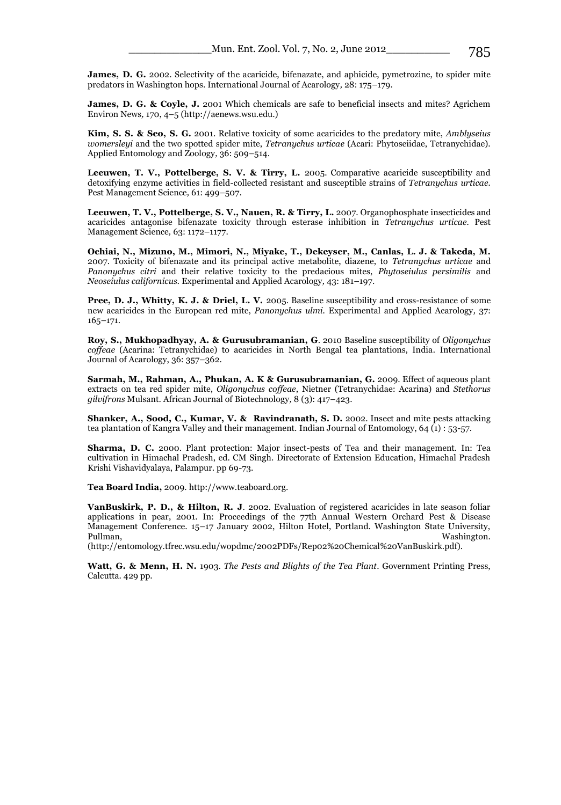**James, D. G.** 2002. Selectivity of the acaricide, bifenazate, and aphicide, pymetrozine, to spider mite predators in Washington hops. International Journal of Acarology*,* 28: 175–179.

**James, D. G. & Coyle, J.** 2001 Which chemicals are safe to beneficial insects and mites? Agrichem Environ News*,* 170, 4–5 (http://aenews.wsu.edu.)

**Kim, S. S. & Seo, S. G.** 2001. Relative toxicity of some acaricides to the predatory mite, *Amblyseius womersleyi* and the two spotted spider mite, *Tetranychus urticae* (Acari: Phytoseiidae, Tetranychidae). Applied Entomology and Zoology*,* 36: 509–514.

**Leeuwen, T. V., Pottelberge, S. V. & Tirry, L.** 2005. Comparative acaricide susceptibility and detoxifying enzyme activities in field-collected resistant and susceptible strains of *Tetranychus urticae.*  Pest Management Science*,* 61: 499–507.

**Leeuwen, T. V., Pottelberge, S. V., Nauen, R. & Tirry, L.** 2007. Organophosphate insecticides and acaricides antagonise bifenazate toxicity through esterase inhibition in *Tetranychus urticae.* Pest Management Science*,* 63: 1172–1177.

**Ochiai, N., Mizuno, M., Mimori, N., Miyake, T., Dekeyser, M., Canlas, L. J. & Takeda, M.** 2007. Toxicity of bifenazate and its principal active metabolite, diazene, to *Tetranychus urticae* and *Panonychus citri* and their relative toxicity to the predacious mites, *Phytoseiulus persimilis* and *Neoseiulus californicus.* Experimental and Applied Acarology*,* 43: 181–197.

**Pree, D. J., Whitty, K. J. & Driel, L. V.** 2005. Baseline susceptibility and cross-resistance of some new acaricides in the European red mite, *Panonychus ulmi.* Experimental and Applied Acarology*,* 37: 165–171.

**Roy, S., Mukhopadhyay, A. & Gurusubramanian, G**. 2010 Baseline susceptibility of *Oligonychus coffeae* (Acarina: Tetranychidae) to acaricides in North Bengal tea plantations, India*.* International Journal of Acarology, 36: 357–362.

**Sarmah, M., Rahman, A., Phukan, A. K & Gurusubramanian, G.** 2009. Effect of aqueous plant extracts on tea red spider mite, *Oligonychus coffeae*, Nietner (Tetranychidae: Acarina) and *Stethorus gilvifrons* Mulsant. African Journal of Biotechnology*,* 8 (3): 417–423.

**Shanker, A., Sood, C., Kumar, V. & Ravindranath, S. D.** 2002. Insect and mite pests attacking tea plantation of Kangra Valley and their management. Indian Journal of Entomology, 64 (1) : 53-57.

**Sharma, D. C.** 2000. Plant protection: Major insect-pests of Tea and their management. In: Tea cultivation in Himachal Pradesh, ed. CM Singh. Directorate of Extension Education, Himachal Pradesh Krishi Vishavidyalaya, Palampur. pp 69-73.

**Tea Board India,** 2009. http://www.teaboard.org.

**VanBuskirk, P. D., & Hilton, R. J**. 2002. Evaluation of registered acaricides in late season foliar applications in pear, 2001. In: Proceedings of the 77th Annual Western Orchard Pest & Disease Management Conference. 15–17 January 2002, Hilton Hotel, Portland. Washington State University, Pullman, Washington. Nashington. Washington. Nashington. Washington. Nashington. Nashington. Nashington. Nashi

(http://entomology.tfrec.wsu.edu/wopdmc/2002PDFs/Rep02%20Chemical%20VanBuskirk.pdf).

**Watt, G. & Menn, H. N.** 1903. *The Pests and Blights of the Tea Plant*. Government Printing Press, Calcutta. 429 pp.